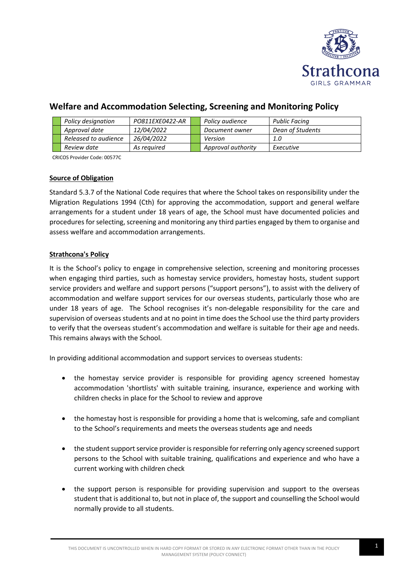

# **Welfare and Accommodation Selecting, Screening and Monitoring Policy**

| Policy designation                 | PO811EXE0422-AR | Policy audience    | Public Facing    |
|------------------------------------|-----------------|--------------------|------------------|
| 12/04/2022<br>Approval date        |                 | Document owner     | Dean of Students |
| 26/04/2022<br>Released to audience |                 | Version            | 1.0              |
| Review date<br>As reauired         |                 | Approval authority | Executive        |

CRICOS Provider Code: 00577C

# **Source of Obligation**

Standard 5.3.7 of the National Code requires that where the School takes on responsibility under the Migration Regulations 1994 (Cth) for approving the accommodation, support and general welfare arrangements for a student under 18 years of age, the School must have documented policies and procedures for selecting, screening and monitoring any third parties engaged by them to organise and assess welfare and accommodation arrangements.

# **Strathcona's Policy**

It is the School's policy to engage in comprehensive selection, screening and monitoring processes when engaging third parties, such as homestay service providers, homestay hosts, student support service providers and welfare and support persons ("support persons"), to assist with the delivery of accommodation and welfare support services for our overseas students, particularly those who are under 18 years of age. The School recognises it's non-delegable responsibility for the care and supervision of overseas students and at no point in time does the School use the third party providers to verify that the overseas student's accommodation and welfare is suitable for their age and needs. This remains always with the School.

In providing additional accommodation and support services to overseas students:

- the homestay service provider is responsible for providing agency screened homestay accommodation 'shortlists' with suitable training, insurance, experience and working with children checks in place for the School to review and approve
- the homestay host is responsible for providing a home that is welcoming, safe and compliant to the School's requirements and meets the overseas students age and needs
- the student support service provider is responsible for referring only agency screened support persons to the School with suitable training, qualifications and experience and who have a current working with children check
- the support person is responsible for providing supervision and support to the overseas student that is additional to, but not in place of, the support and counselling the School would normally provide to all students.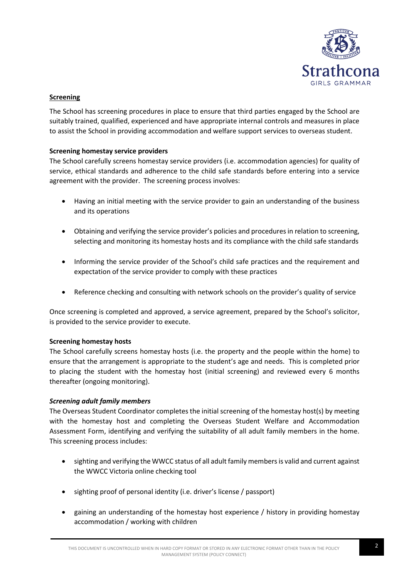

# **Screening**

The School has screening procedures in place to ensure that third parties engaged by the School are suitably trained, qualified, experienced and have appropriate internal controls and measures in place to assist the School in providing accommodation and welfare support services to overseas student.

# **Screening homestay service providers**

The School carefully screens homestay service providers (i.e. accommodation agencies) for quality of service, ethical standards and adherence to the child safe standards before entering into a service agreement with the provider. The screening process involves:

- Having an initial meeting with the service provider to gain an understanding of the business and its operations
- Obtaining and verifying the service provider's policies and procedures in relation to screening, selecting and monitoring its homestay hosts and its compliance with the child safe standards
- Informing the service provider of the School's child safe practices and the requirement and expectation of the service provider to comply with these practices
- Reference checking and consulting with network schools on the provider's quality of service

Once screening is completed and approved, a service agreement, prepared by the School's solicitor, is provided to the service provider to execute.

# **Screening homestay hosts**

The School carefully screens homestay hosts (i.e. the property and the people within the home) to ensure that the arrangement is appropriate to the student's age and needs. This is completed prior to placing the student with the homestay host (initial screening) and reviewed every 6 months thereafter (ongoing monitoring).

# *Screening adult family members*

The Overseas Student Coordinator completes the initial screening of the homestay host(s) by meeting with the homestay host and completing the Overseas Student Welfare and Accommodation Assessment Form, identifying and verifying the suitability of all adult family members in the home. This screening process includes:

- sighting and verifying the WWCC status of all adult family members is valid and current against the WWCC Victoria online checking tool
- sighting proof of personal identity (i.e. driver's license / passport)
- gaining an understanding of the homestay host experience / history in providing homestay accommodation / working with children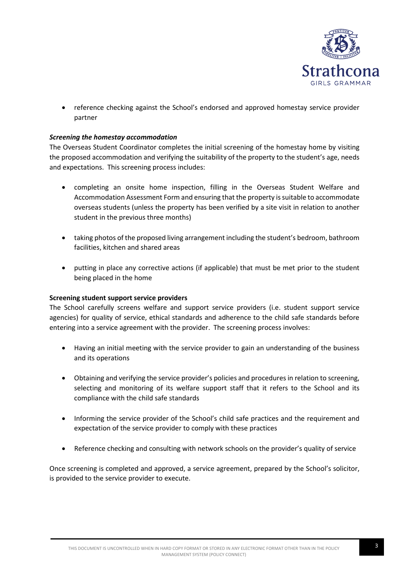

• reference checking against the School's endorsed and approved homestay service provider partner

# *Screening the homestay accommodation*

The Overseas Student Coordinator completes the initial screening of the homestay home by visiting the proposed accommodation and verifying the suitability of the property to the student's age, needs and expectations. This screening process includes:

- completing an onsite home inspection, filling in the Overseas Student Welfare and Accommodation Assessment Form and ensuring that the property is suitable to accommodate overseas students (unless the property has been verified by a site visit in relation to another student in the previous three months)
- taking photos of the proposed living arrangement including the student's bedroom, bathroom facilities, kitchen and shared areas
- putting in place any corrective actions (if applicable) that must be met prior to the student being placed in the home

# **Screening student support service providers**

The School carefully screens welfare and support service providers (i.e. student support service agencies) for quality of service, ethical standards and adherence to the child safe standards before entering into a service agreement with the provider. The screening process involves:

- Having an initial meeting with the service provider to gain an understanding of the business and its operations
- Obtaining and verifying the service provider's policies and procedures in relation to screening, selecting and monitoring of its welfare support staff that it refers to the School and its compliance with the child safe standards
- Informing the service provider of the School's child safe practices and the requirement and expectation of the service provider to comply with these practices
- Reference checking and consulting with network schools on the provider's quality of service

Once screening is completed and approved, a service agreement, prepared by the School's solicitor, is provided to the service provider to execute.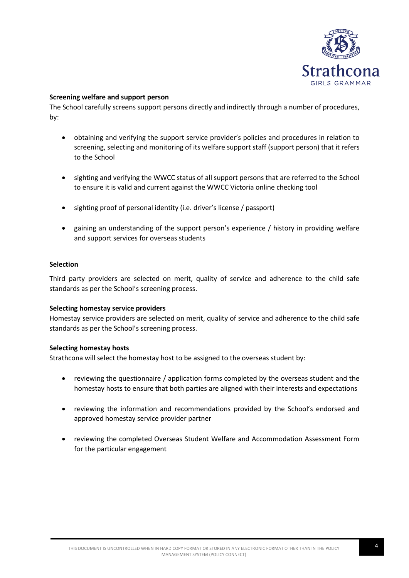

# **Screening welfare and support person**

The School carefully screens support persons directly and indirectly through a number of procedures, by:

- obtaining and verifying the support service provider's policies and procedures in relation to screening, selecting and monitoring of its welfare support staff (support person) that it refers to the School
- sighting and verifying the WWCC status of all support persons that are referred to the School to ensure it is valid and current against the WWCC Victoria online checking tool
- sighting proof of personal identity (i.e. driver's license / passport)
- gaining an understanding of the support person's experience / history in providing welfare and support services for overseas students

#### **Selection**

Third party providers are selected on merit, quality of service and adherence to the child safe standards as per the School's screening process.

#### **Selecting homestay service providers**

Homestay service providers are selected on merit, quality of service and adherence to the child safe standards as per the School's screening process.

# **Selecting homestay hosts**

Strathcona will select the homestay host to be assigned to the overseas student by:

- reviewing the questionnaire / application forms completed by the overseas student and the homestay hosts to ensure that both parties are aligned with their interests and expectations
- reviewing the information and recommendations provided by the School's endorsed and approved homestay service provider partner
- reviewing the completed Overseas Student Welfare and Accommodation Assessment Form for the particular engagement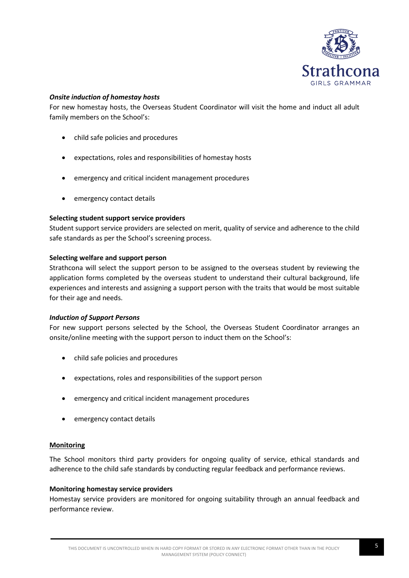

# *Onsite induction of homestay hosts*

For new homestay hosts, the Overseas Student Coordinator will visit the home and induct all adult family members on the School's:

- child safe policies and procedures
- expectations, roles and responsibilities of homestay hosts
- emergency and critical incident management procedures
- emergency contact details

# **Selecting student support service providers**

Student support service providers are selected on merit, quality of service and adherence to the child safe standards as per the School's screening process.

#### **Selecting welfare and support person**

Strathcona will select the support person to be assigned to the overseas student by reviewing the application forms completed by the overseas student to understand their cultural background, life experiences and interests and assigning a support person with the traits that would be most suitable for their age and needs.

# *Induction of Support Persons*

For new support persons selected by the School, the Overseas Student Coordinator arranges an onsite/online meeting with the support person to induct them on the School's:

- child safe policies and procedures
- expectations, roles and responsibilities of the support person
- emergency and critical incident management procedures
- emergency contact details

# **Monitoring**

The School monitors third party providers for ongoing quality of service, ethical standards and adherence to the child safe standards by conducting regular feedback and performance reviews.

# **Monitoring homestay service providers**

Homestay service providers are monitored for ongoing suitability through an annual feedback and performance review.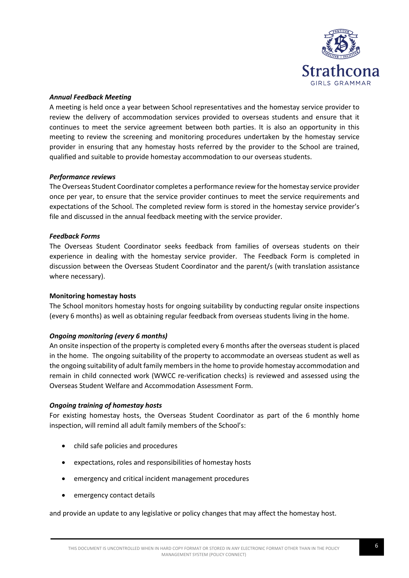

# *Annual Feedback Meeting*

A meeting is held once a year between School representatives and the homestay service provider to review the delivery of accommodation services provided to overseas students and ensure that it continues to meet the service agreement between both parties. It is also an opportunity in this meeting to review the screening and monitoring procedures undertaken by the homestay service provider in ensuring that any homestay hosts referred by the provider to the School are trained, qualified and suitable to provide homestay accommodation to our overseas students.

# *Performance reviews*

The Overseas Student Coordinator completes a performance review for the homestay service provider once per year, to ensure that the service provider continues to meet the service requirements and expectations of the School. The completed review form is stored in the homestay service provider's file and discussed in the annual feedback meeting with the service provider.

# *Feedback Forms*

The Overseas Student Coordinator seeks feedback from families of overseas students on their experience in dealing with the homestay service provider. The Feedback Form is completed in discussion between the Overseas Student Coordinator and the parent/s (with translation assistance where necessary).

# **Monitoring homestay hosts**

The School monitors homestay hosts for ongoing suitability by conducting regular onsite inspections (every 6 months) as well as obtaining regular feedback from overseas students living in the home.

# *Ongoing monitoring (every 6 months)*

An onsite inspection of the property is completed every 6 months after the overseas student is placed in the home. The ongoing suitability of the property to accommodate an overseas student as well as the ongoing suitability of adult family members in the home to provide homestay accommodation and remain in child connected work (WWCC re-verification checks) is reviewed and assessed using the Overseas Student Welfare and Accommodation Assessment Form.

# *Ongoing training of homestay hosts*

For existing homestay hosts, the Overseas Student Coordinator as part of the 6 monthly home inspection, will remind all adult family members of the School's:

- child safe policies and procedures
- expectations, roles and responsibilities of homestay hosts
- emergency and critical incident management procedures
- emergency contact details

and provide an update to any legislative or policy changes that may affect the homestay host.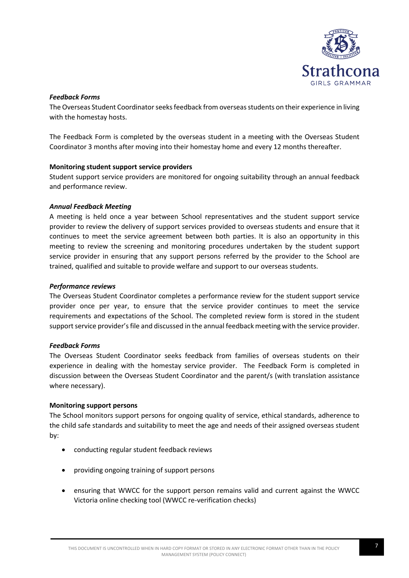

# *Feedback Forms*

The Overseas Student Coordinator seeks feedback from overseas students on their experience in living with the homestay hosts.

The Feedback Form is completed by the overseas student in a meeting with the Overseas Student Coordinator 3 months after moving into their homestay home and every 12 months thereafter.

# **Monitoring student support service providers**

Student support service providers are monitored for ongoing suitability through an annual feedback and performance review.

# *Annual Feedback Meeting*

A meeting is held once a year between School representatives and the student support service provider to review the delivery of support services provided to overseas students and ensure that it continues to meet the service agreement between both parties. It is also an opportunity in this meeting to review the screening and monitoring procedures undertaken by the student support service provider in ensuring that any support persons referred by the provider to the School are trained, qualified and suitable to provide welfare and support to our overseas students.

#### *Performance reviews*

The Overseas Student Coordinator completes a performance review for the student support service provider once per year, to ensure that the service provider continues to meet the service requirements and expectations of the School. The completed review form is stored in the student support service provider's file and discussed in the annual feedback meeting with the service provider.

# *Feedback Forms*

The Overseas Student Coordinator seeks feedback from families of overseas students on their experience in dealing with the homestay service provider. The Feedback Form is completed in discussion between the Overseas Student Coordinator and the parent/s (with translation assistance where necessary).

#### **Monitoring support persons**

The School monitors support persons for ongoing quality of service, ethical standards, adherence to the child safe standards and suitability to meet the age and needs of their assigned overseas student by:

- conducting regular student feedback reviews
- providing ongoing training of support persons
- ensuring that WWCC for the support person remains valid and current against the WWCC Victoria online checking tool (WWCC re-verification checks)